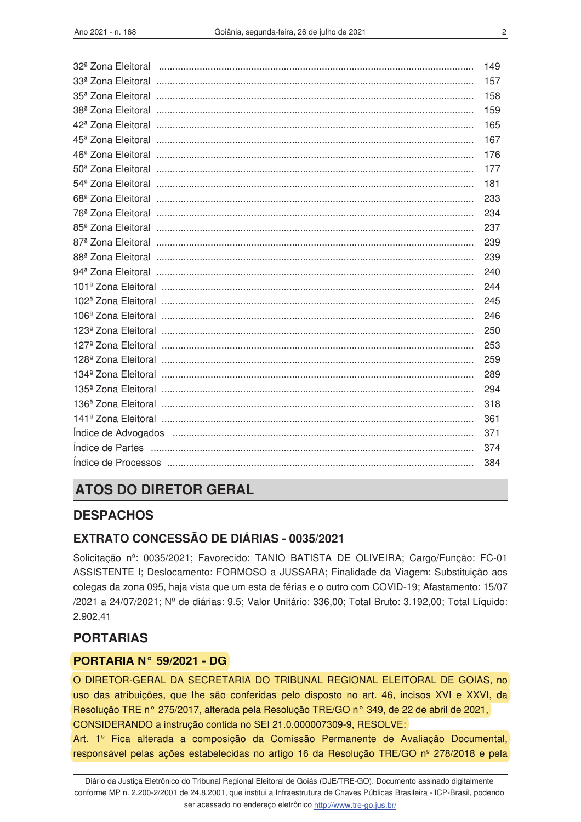| 149 |
|-----|
| 157 |
| 158 |
| 159 |
| 165 |
| 167 |
| 176 |
| 177 |
| 181 |
| 233 |
| 234 |
| 237 |
| 239 |
| 239 |
| 240 |
| 244 |
| 245 |
| 246 |
| 250 |
| 253 |
| 259 |
| 289 |
| 294 |
| 318 |
| 361 |
| 371 |
| 374 |
| 384 |

## **ATOS DO DIRETOR GERAL**

### **DESPACHOS**

### **EXTRATO CONCESSÃO DE DIÁRIAS - 0035/2021**

Solicitação nº: 0035/2021; Favorecido: TANIO BATISTA DE OLIVEIRA; Cargo/Função: FC-01 ASSISTENTE I; Deslocamento: FORMOSO a JUSSARA; Finalidade da Viagem: Substituição aos colegas da zona 095, haja vista que um esta de férias e o outro com COVID-19; Afastamento: 15/07 /2021 a 24/07/2021; Nº de diárias: 9.5; Valor Unitário: 336,00; Total Bruto: 3.192,00; Total Líquido: 2.902.41

## **PORTARIAS**

#### PORTARIA N° 59/2021 - DG

O DIRETOR-GERAL DA SECRETARIA DO TRIBUNAL REGIONAL ELEITORAL DE GOIÁS, no uso das atribuições, que lhe são conferidas pelo disposto no art. 46, incisos XVI e XXVI, da Resolução TRE nº 275/2017, alterada pela Resolução TRE/GO nº 349, de 22 de abril de 2021, CONSIDERANDO a instrução contida no SEI 21.0.000007309-9, RESOLVE:

Art. 1º Fica alterada a composição da Comissão Permanente de Avaliação Documental, responsável pelas ações estabelecidas no artigo 16 da Resolução TRE/GO nº 278/2018 e pela

Diário da Justica Eletrônico do Tribunal Regional Eleitoral de Goiás (DJE/TRE-GO). Documento assinado digitalmente conforme MP n. 2.200-2/2001 de 24.8.2001, que institui a Infraestrutura de Chaves Públicas Brasileira - ICP-Brasil, podendo ser acessado no endereço eletrônico http://www.tre-go.jus.br/